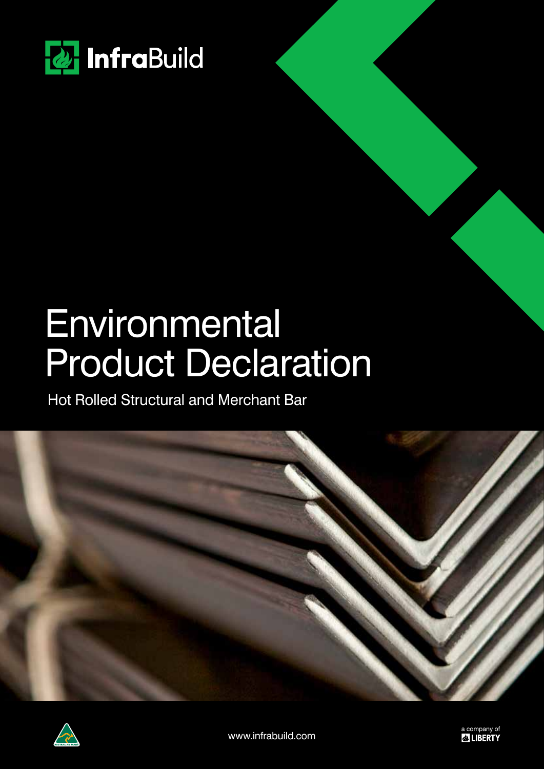

## **Environmental** Product Declaration

Hot Rolled Structural and Merchant Bar



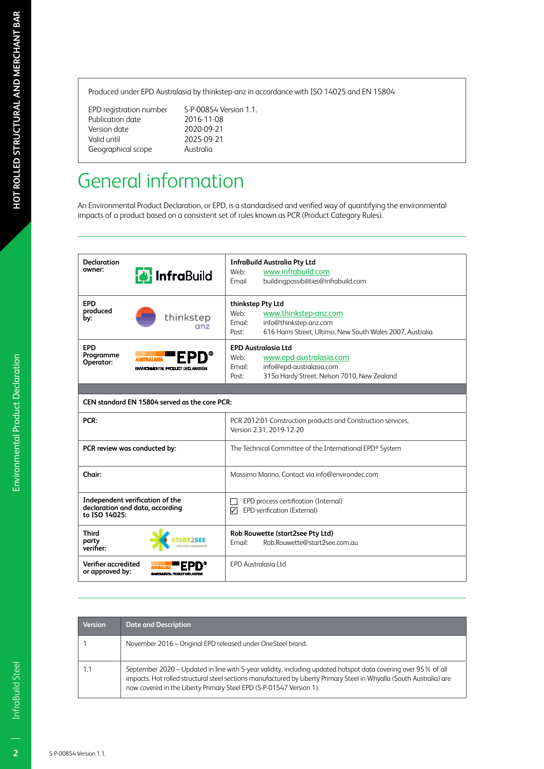Produced under EPD Australasia by thinkstep-anz in accordance with ISO 14025 and EN 15804

EPD registration number S-P-00854 Version 1.1. Publication date 2016-11-08<br>Version date 2020-09-21 Version date<br>Valid until Geographical scope Australia

2025-09-21

## General information

An Environmental Product Declaration, or EPD, is a standardised and verified way of quantifying the environmental impacts of a product based on a consistent set of rules known as PCR (Product Category Rules).

| <b>Declaration</b>                     |                                                                    | <b>InfraBuild Australia Pty Ltd</b>                                                      |  |  |  |
|----------------------------------------|--------------------------------------------------------------------|------------------------------------------------------------------------------------------|--|--|--|
| owner:                                 |                                                                    | www.infrabuild.com<br>Web:                                                               |  |  |  |
|                                        | <b>&amp;</b> InfraBuild                                            | Email<br>buildingpossibilities@infrabuild.com                                            |  |  |  |
|                                        |                                                                    |                                                                                          |  |  |  |
| <b>EPD</b>                             |                                                                    | thinkstep Pty Ltd                                                                        |  |  |  |
| produced                               |                                                                    | Web:<br>www.thinkstep-anz.com                                                            |  |  |  |
| by:                                    | thinkstep                                                          | info@thinkstep-anz.com<br>Email:                                                         |  |  |  |
|                                        | anz                                                                | 616 Harris Street, Ultimo, New South Wales 2007, Australia<br>Post:                      |  |  |  |
|                                        |                                                                    |                                                                                          |  |  |  |
| <b>EPD</b>                             |                                                                    | <b>EPD Australasia Ltd</b>                                                               |  |  |  |
| Programme<br>Operator:                 | <b>TRALASIA</b>                                                    | www.epd-australasia.com<br>Web:                                                          |  |  |  |
|                                        | ENVIRONMENTAL PRODUCT DECLARATION                                  | info@epd-australasia.com<br>Email:                                                       |  |  |  |
|                                        |                                                                    | 315a Hardy Street, Nelson 7010, New Zealand<br>Post:                                     |  |  |  |
|                                        |                                                                    |                                                                                          |  |  |  |
|                                        | CEN standard EN 15804 served as the core PCR:                      |                                                                                          |  |  |  |
| PCR:                                   |                                                                    | PCR 2012:01 Construction products and Construction services,<br>Version 2.31, 2019-12-20 |  |  |  |
|                                        | PCR review was conducted by:                                       | The Technical Committee of the International EPD® System                                 |  |  |  |
| Chair:                                 |                                                                    | Massimo Marino. Contact via info@environdec.com                                          |  |  |  |
| to ISO 14025:                          | Independent verification of the<br>declaration and data, according | EPD process certification (Internal)<br>☑<br>EPD verification (External)                 |  |  |  |
| <b>Third</b><br>party<br>verifier:     |                                                                    | Rob Rouwette (start2see Pty Ltd)<br>Rob.Rouwette@start2see.com.au<br>Email:              |  |  |  |
| Verifier accredited<br>or approved by: | ENVIRONMENTAL PRODUCT DECLARATION                                  | <b>EPD Australasia Ltd</b>                                                               |  |  |  |

| <b>Version</b> | <b>Date and Description</b>                                                                                                                                                                                                                                                                                   |
|----------------|---------------------------------------------------------------------------------------------------------------------------------------------------------------------------------------------------------------------------------------------------------------------------------------------------------------|
|                | November 2016 – Original EPD released under OneSteel brand.                                                                                                                                                                                                                                                   |
|                | September 2020 – Updated in line with 5-year validity, including updated hotspot data covering over 95% of all<br>impacts. Hot rolled structural steel sections manufactured by Liberty Primary Steel in Whyalla (South Australia) are<br>now covered in the Liberty Primary Steel EPD (S-P-01547 Version 1). |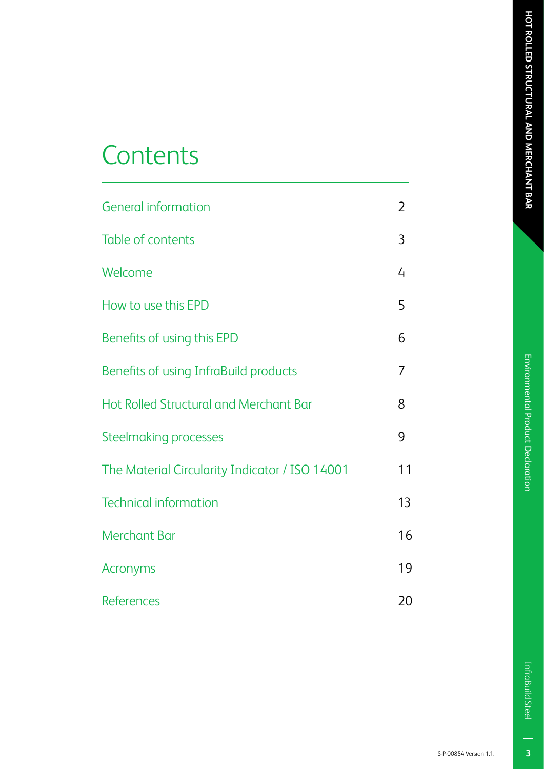## **Contents**

| <b>General information</b>                     | $\overline{2}$ |
|------------------------------------------------|----------------|
| <b>Table of contents</b>                       | 3              |
| Welcome                                        | 4              |
| How to use this EPD                            | 5              |
| Benefits of using this EPD                     | 6              |
| Benefits of using InfraBuild products          | 7              |
| <b>Hot Rolled Structural and Merchant Bar</b>  | 8              |
| <b>Steelmaking processes</b>                   | 9              |
| The Material Circularity Indicator / ISO 14001 | 11             |
| <b>Technical information</b>                   | 13             |
| <b>Merchant Bar</b>                            | 16             |
| <b>Acronyms</b>                                | 19             |
| <b>References</b>                              | 20             |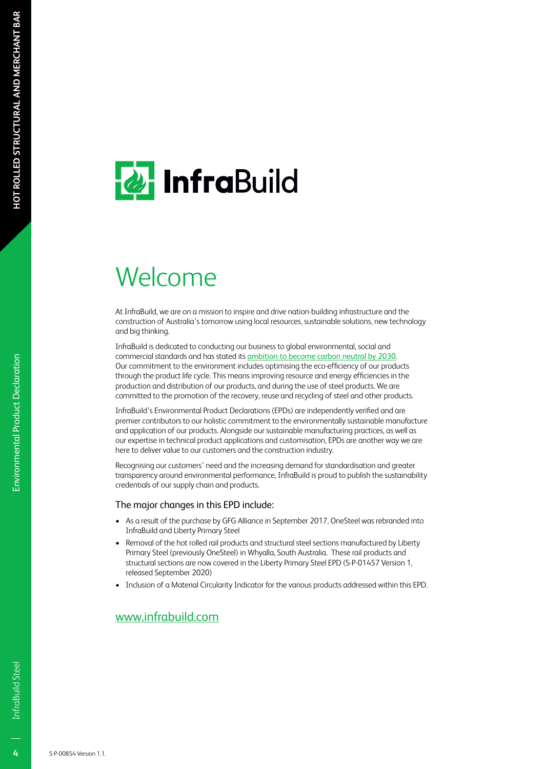## **2** InfraBuild

## Welcome

At InfraBuild, we are on a mission to inspire and drive nation-building infrastructure and the construction of Australia's tomorrow using local resources, sustainable solutions, new technology and big thinking.

InfraBuild is dedicated to conducting our business to global environmental, social and commercial standards and has stated its ambition to become carbon neutral by 2030. Our commitment to the environment includes optimising the eco-efficiency of our products through the product life cycle. This means improving resource and energy efficiencies in the production and distribution of our products, and during the use of steel products. We are committed to the promotion of the recovery, reuse and recycling of steel and other products.

InfraBuild's Environmental Product Declarations (EPDs) are independently verified and are premier contributors to our holistic commitment to the environmentally sustainable manufacture and application of our products. Alongside our sustainable manufacturing practices, as well as our expertise in technical product applications and customisation, EPDs are another way we are here to deliver value to our customers and the construction industry.

Recognising our customers' need and the increasing demand for standardisation and greater transparency around environmental performance, InfraBuild is proud to publish the sustainability credentials of our supply chain and products.

#### The major changes in this EPD include:

- As a result of the purchase by GFG Alliance in September 2017, OneSteel was rebranded into InfraBuild and Liberty Primary Steel
- Removal of the hot rolled rail products and structural steel sections manufactured by Liberty Primary Steel (previously OneSteel) in Whyalla, South Australia. These rail products and structural sections are now covered in the Liberty Primary Steel EPD (S-P-01457 Version 1, released September 2020)
- Inclusion of a Material Circularity Indicator for the various products addressed within this EPD.

#### www.infrabuild.com

 $\overline{4}$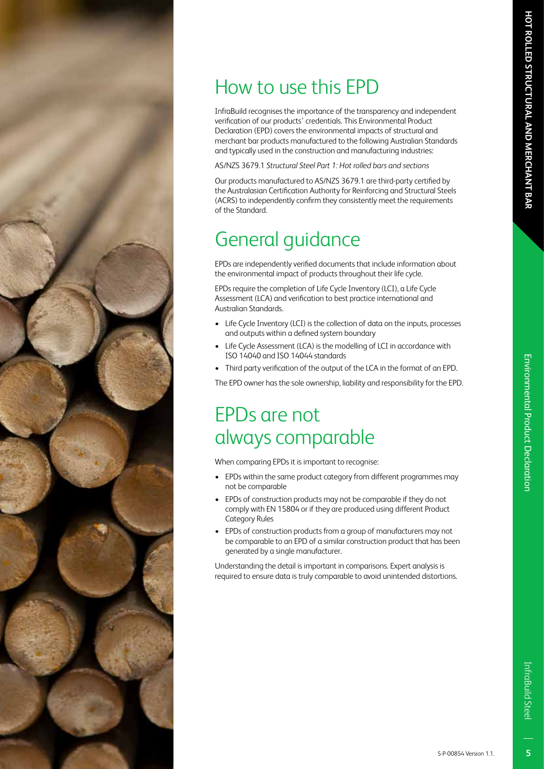## How to use this EPD

InfraBuild recognises the importance of the transparency and independent verification of our products' credentials. This Environmental Product Declaration (EPD) covers the environmental impacts of structural and merchant bar products manufactured to the following Australian Standards and typically used in the construction and manufacturing industries:

AS/NZS 3679.1 *Structural Steel Part 1: Hot rolled bars and sections*

Our products manufactured to AS/NZS 3679.1 are third-party certified by the Australasian Certification Authority for Reinforcing and Structural Steels (ACRS) to independently confirm they consistently meet the requirements of the Standard.

### General guidance

EPDs are independently verified documents that include information about the environmental impact of products throughout their life cycle.

EPDs require the completion of Life Cycle Inventory (LCI), a Life Cycle Assessment (LCA) and verification to best practice international and Australian Standards.

- Life Cycle Inventory (LCI) is the collection of data on the inputs, processes and outputs within a defined system boundary
- Life Cycle Assessment (LCA) is the modelling of LCI in accordance with ISO 14040 and ISO 14044 standards
- Third party verification of the output of the LCA in the format of an EPD.

The EPD owner has the sole ownership, liability and responsibility for the EPD.

### EPDs are not always comparable

When comparing EPDs it is important to recognise:

- EPDs within the same product category from different programmes may not be comparable
- EPDs of construction products may not be comparable if they do not comply with EN 15804 or if they are produced using different Product Category Rules
- EPDs of construction products from a group of manufacturers may not be comparable to an EPD of a similar construction product that has been generated by a single manufacturer.

Understanding the detail is important in comparisons. Expert analysis is required to ensure data is truly comparable to avoid unintended distortions.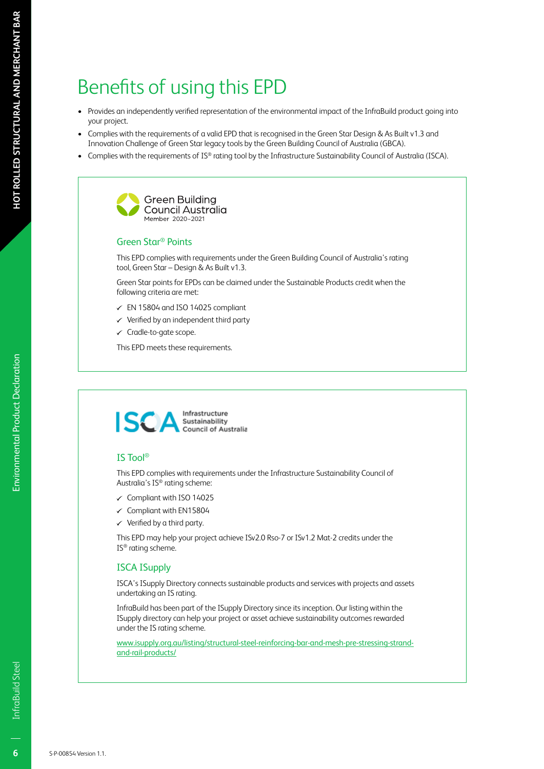## Benefits of using this EPD

- Provides an independently verified representation of the environmental impact of the InfraBuild product going into your project.
- Complies with the requirements of a valid EPD that is recognised in the Green Star Design & As Built v1.3 and Innovation Challenge of Green Star legacy tools by the Green Building Council of Australia (GBCA).
- Complies with the requirements of IS® rating tool by the Infrastructure Sustainability Council of Australia (ISCA).



#### Green Star® Points

This EPD complies with requirements under the Green Building Council of Australia's rating tool, Green Star – Design & As Built v1.3.

Green Star points for EPDs can be claimed under the Sustainable Products credit when the following criteria are met:

- $\checkmark$  EN 15804 and ISO 14025 compliant
- $\checkmark$  Verified by an independent third party
- $\checkmark$  Cradle-to-gate scope.

This EPD meets these requirements.



#### IS Tool®

This EPD complies with requirements under the Infrastructure Sustainability Council of Australia's IS® rating scheme:

- $\checkmark$  Compliant with ISO 14025
- $\checkmark$  Compliant with EN15804
- $\checkmark$  Verified by a third party.

This EPD may help your project achieve ISv2.0 Rso-7 or ISv1.2 Mat-2 credits under the IS® rating scheme.

#### ISCA ISupply

ISCA's ISupply Directory connects sustainable products and services with projects and assets undertaking an IS rating.

InfraBuild has been part of the ISupply Directory since its inception. Our listing within the ISupply directory can help your project or asset achieve sustainability outcomes rewarded under the IS rating scheme.

www.isupply.org.au/listing/structural-steel-reinforcing-bar-and-mesh-pre-stressing-strandand-rail-products/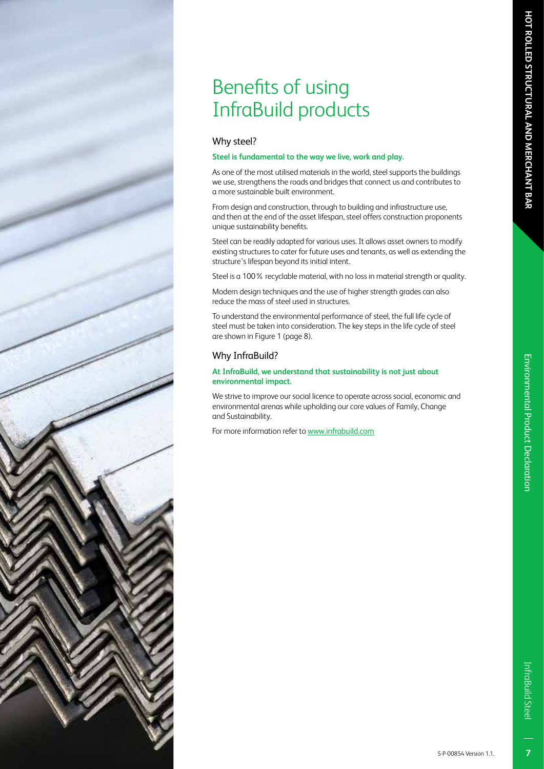## Benefits of using InfraBuild products

#### Why steel?

#### **Steel is fundamental to the way we live, work and play.**

As one of the most utilised materials in the world, steel supports the buildings we use, strengthens the roads and bridges that connect us and contributes to a more sustainable built environment.

From design and construction, through to building and infrastructure use, and then at the end of the asset lifespan, steel offers construction proponents unique sustainability benefits.

Steel can be readily adapted for various uses. It allows asset owners to modify existing structures to cater for future uses and tenants, as well as extending the structure's lifespan beyond its initial intent.

Steel is a 100% recyclable material, with no loss in material strength or quality.

Modern design techniques and the use of higher strength grades can also reduce the mass of steel used in structures.

To understand the environmental performance of steel, the full life cycle of steel must be taken into consideration. The key steps in the life cycle of steel are shown in Figure 1 (page 8).

#### Why InfraBuild?

#### **At InfraBuild, we understand that sustainability is not just about environmental impact.**

We strive to improve our social licence to operate across social, economic and environmental arenas while upholding our core values of Family, Change and Sustainability.

For more information refer to www.infrabuild.com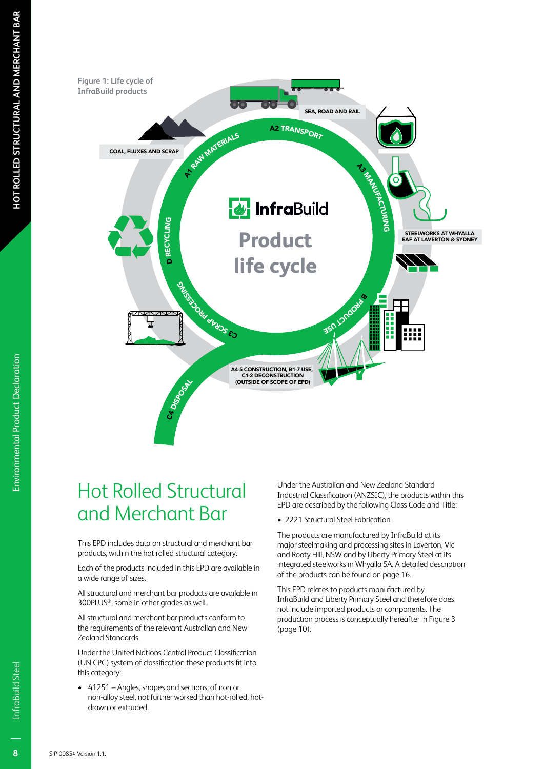

## Hot Rolled Structural and Merchant Bar

This EPD includes data on structural and merchant bar products, within the hot rolled structural category.

Each of the products included in this EPD are available in a wide range of sizes.

All structural and merchant bar products are available in 300PLUS®, some in other grades as well.

All structural and merchant bar products conform to the requirements of the relevant Australian and New Zealand Standards.

Under the United Nations Central Product Classification (UN CPC) system of classification these products fit into this category:

• 41251 – Angles, shapes and sections, of iron or non-alloy steel, not further worked than hot-rolled, hotdrawn or extruded.

Under the Australian and New Zealand Standard Industrial Classification (ANZSIC), the products within this EPD are described by the following Class Code and Title;

• 2221 Structural Steel Fabrication

The products are manufactured by InfraBuild at its major steelmaking and processing sites in Laverton, Vic and Rooty Hill, NSW and by Liberty Primary Steel at its integrated steelworks in Whyalla SA. A detailed description of the products can be found on page 16.

This EPD relates to products manufactured by InfraBuild and Liberty Primary Steel and therefore does not include imported products or components. The production process is conceptually hereafter in Figure 3 (page 10).

Environmental Product Declaration

Environmental Product Declaration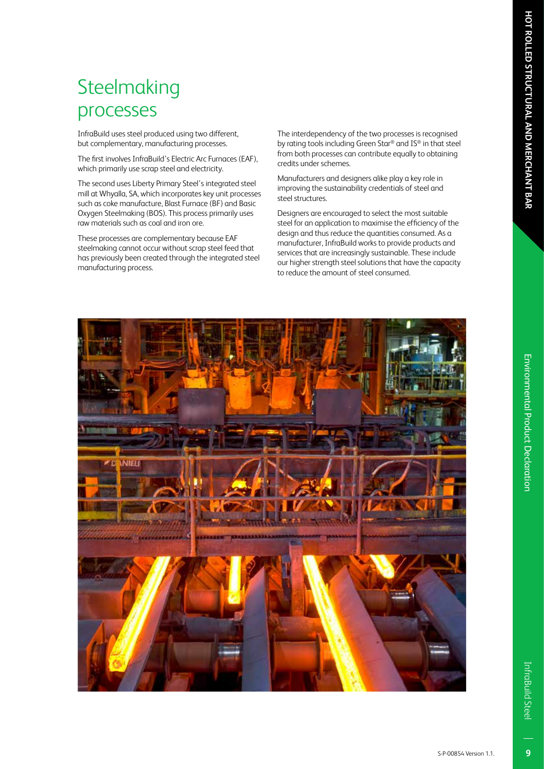# Environmental Product Declaration Environmental Product Declaration

## **Steelmaking** processes

InfraBuild uses steel produced using two different, but complementary, manufacturing processes.

The first involves InfraBuild's Electric Arc Furnaces (EAF), which primarily use scrap steel and electricity.

The second uses Liberty Primary Steel's integrated steel mill at Whyalla, SA, which incorporates key unit processes such as coke manufacture, Blast Furnace (BF) and Basic Oxygen Steelmaking (BOS). This process primarily uses raw materials such as coal and iron ore.

These processes are complementary because EAF steelmaking cannot occur without scrap steel feed that has previously been created through the integrated steel manufacturing process.

The interdependency of the two processes is recognised by rating tools including Green Star® and IS® in that steel from both processes can contribute equally to obtaining credits under schemes.

Manufacturers and designers alike play a key role in improving the sustainability credentials of steel and steel structures.

Designers are encouraged to select the most suitable steel for an application to maximise the efficiency of the design and thus reduce the quantities consumed. As a manufacturer, InfraBuild works to provide products and services that are increasingly sustainable. These include our higher strength steel solutions that have the capacity to reduce the amount of steel consumed.



 $\overline{9}$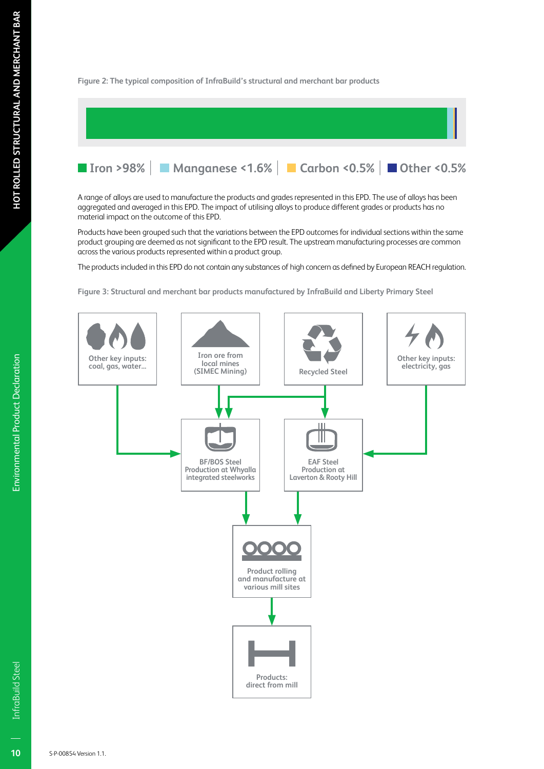# **Environmental Product Declaration** Environmental Product Declaration

**Figure 2: The typical composition of InfraBuild's structural and merchant bar products**

|  | <b>If Iron &gt;98%   Manganese &lt;1.6%   Carbon &lt;0.5%   Other &lt;0.5%</b> |  |  |
|--|--------------------------------------------------------------------------------|--|--|

A range of alloys are used to manufacture the products and grades represented in this EPD. The use of alloys has been aggregated and averaged in this EPD. The impact of utilising alloys to produce different grades or products has no material impact on the outcome of this EPD.

Products have been grouped such that the variations between the EPD outcomes for individual sections within the same product grouping are deemed as not significant to the EPD result. The upstream manufacturing processes are common across the various products represented within a product group.

The products included in this EPD do not contain any substances of high concern as defined by European REACH regulation.

**Figure 3: Structural and merchant bar products manufactured by InfraBuild and Liberty Primary Steel**

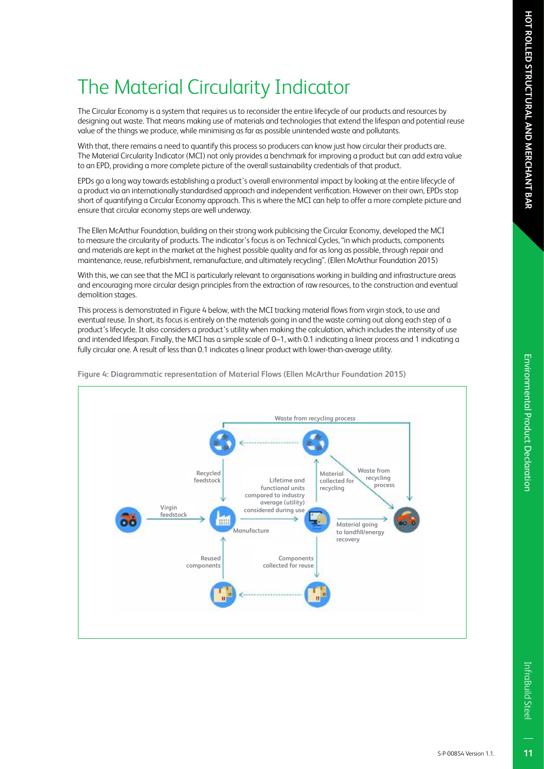## Environmental Product Declaratior Environmental Product Declaration

 $11$ 

## The Material Circularity Indicator

The Circular Economy is a system that requires us to reconsider the entire lifecycle of our products and resources by designing out waste. That means making use of materials and technologies that extend the lifespan and potential reuse value of the things we produce, while minimising as far as possible unintended waste and pollutants.

With that, there remains a need to quantify this process so producers can know just how circular their products are. The Material Circularity Indicator (MCI) not only provides a benchmark for improving a product but can add extra value to an EPD, providing a more complete picture of the overall sustainability credentials of that product.

EPDs go a long way towards establishing a product's overall environmental impact by looking at the entire lifecycle of a product via an internationally standardised approach and independent verification. However on their own, EPDs stop short of quantifying a Circular Economy approach. This is where the MCI can help to offer a more complete picture and ensure that circular economy steps are well underway.

The Ellen McArthur Foundation, building on their strong work publicising the Circular Economy, developed the MCI to measure the circularity of products. The indicator's focus is on Technical Cycles, "in which products, components and materials are kept in the market at the highest possible quality and for as long as possible, through repair and maintenance, reuse, refurbishment, remanufacture, and ultimately recycling". (Ellen McArthur Foundation 2015)

With this, we can see that the MCI is particularly relevant to organisations working in building and infrastructure areas and encouraging more circular design principles from the extraction of raw resources, to the construction and eventual demolition stages.

This process is demonstrated in Figure 4 below, with the MCI tracking material flows from virgin stock, to use and eventual reuse. In short, its focus is entirely on the materials going in and the waste coming out along each step of a product's lifecycle. It also considers a product's utility when making the calculation, which includes the intensity of use and intended lifespan. Finally, the MCI has a simple scale of 0–1, with 0.1 indicating a linear process and 1 indicating a fully circular one. A result of less than 0.1 indicates a linear product with lower-than-average utility.



**Figure 4: Diagrammatic representation of Material Flows (Ellen McArthur Foundation 2015)**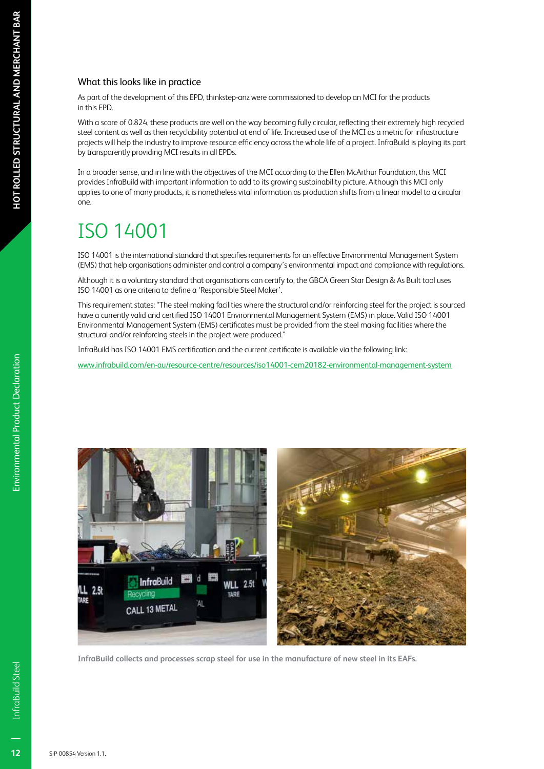#### What this looks like in practice

As part of the development of this EPD, thinkstep-anz were commissioned to develop an MCI for the products in this EPD.

With a score of 0.824, these products are well on the way becoming fully circular, reflecting their extremely high recycled steel content as well as their recyclability potential at end of life. Increased use of the MCI as a metric for infrastructure projects will help the industry to improve resource efficiency across the whole life of a project. InfraBuild is playing its part by transparently providing MCI results in all EPDs.

In a broader sense, and in line with the objectives of the MCI according to the Ellen McArthur Foundation, this MCI provides InfraBuild with important information to add to its growing sustainability picture. Although this MCI only applies to one of many products, it is nonetheless vital information as production shifts from a linear model to a circular one.

## ISO 14001

ISO 14001 is the international standard that specifies requirements for an effective Environmental Management System (EMS) that help organisations administer and control a company's environmental impact and compliance with regulations.

Although it is a voluntary standard that organisations can certify to, the GBCA Green Star Design & As Built tool uses ISO 14001 as one criteria to define a 'Responsible Steel Maker'.

This requirement states: "The steel making facilities where the structural and/or reinforcing steel for the project is sourced have a currently valid and certified ISO 14001 Environmental Management System (EMS) in place. Valid ISO 14001 Environmental Management System (EMS) certificates must be provided from the steel making facilities where the structural and/or reinforcing steels in the project were produced."

InfraBuild has ISO 14001 EMS certification and the current certificate is available via the following link:

www.infrabuild.com/en-au/resource-centre/resources/iso14001-cem20182-environmental-management-system



**InfraBuild collects and processes scrap steel for use in the manufacture of new steel in its EAFs.**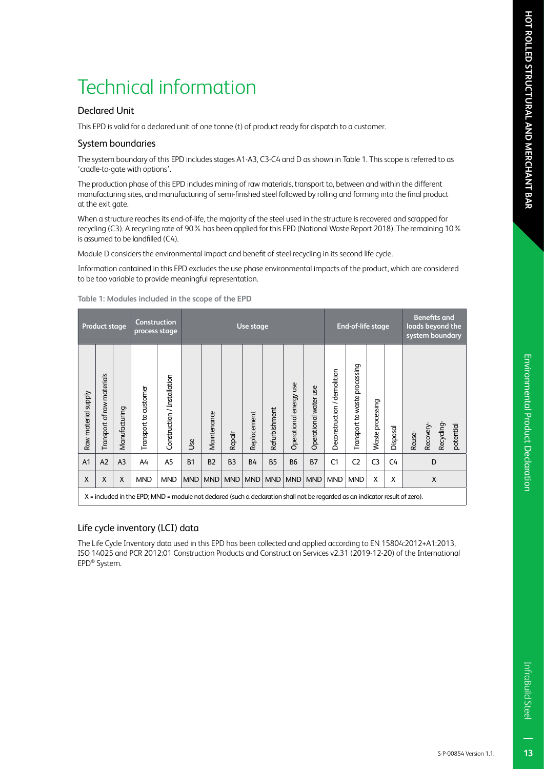#### Declared Unit

This EPD is valid for a declared unit of one tonne (t) of product ready for dispatch to a customer.

#### System boundaries

The system boundary of this EPD includes stages A1-A3, C3-C4 and D as shown in Table 1. This scope is referred to as 'cradle-to-gate with options'.

The production phase of this EPD includes mining of raw materials, transport to, between and within the different manufacturing sites, and manufacturing of semi-finished steel followed by rolling and forming into the final product at the exit gate.

When a structure reaches its end-of-life, the majority of the steel used in the structure is recovered and scrapped for recycling (C3). A recycling rate of 90% has been applied for this EPD (National Waste Report 2018). The remaining 10% is assumed to be landfilled (C4).

Module D considers the environmental impact and benefit of steel recycling in its second life cycle.

Information contained in this EPD excludes the use phase environmental impacts of the product, which are considered to be too variable to provide meaningful representation.

| Construction<br><b>Product stage</b><br>process stage |                               |                |                                                                                                                               |                             | Use stage  |             |                |             |               | End-of-life stage         |                       |                             | <b>Benefits and</b><br>loads beyond the<br>system boundary |                  |          |                                              |
|-------------------------------------------------------|-------------------------------|----------------|-------------------------------------------------------------------------------------------------------------------------------|-----------------------------|------------|-------------|----------------|-------------|---------------|---------------------------|-----------------------|-----------------------------|------------------------------------------------------------|------------------|----------|----------------------------------------------|
| Raw material supply                                   | of raw materials<br>Transport | Manufacturing  | Transport to customer                                                                                                         | Construction / Installation | Use        | Maintenance | Repair         | Replacement | Refurbishment | 9SN<br>Operational energy | Operational water use | Deconstruction / demolition | Transport to waste processing                              | Waste processing | Disposal | Recyding-<br>potential<br>Recovery<br>Reuse- |
| A <sub>1</sub>                                        | A2                            | A <sub>3</sub> | A4                                                                                                                            | A5                          | <b>B1</b>  | <b>B2</b>   | B <sub>3</sub> | <b>B4</b>   | <b>B5</b>     | <b>B6</b>                 | <b>B7</b>             | C <sub>1</sub>              | C <sub>2</sub>                                             | C <sub>3</sub>   | C4       | D                                            |
| X                                                     | X                             | $\mathsf{x}$   | <b>MND</b>                                                                                                                    | <b>MND</b>                  | <b>MND</b> | MND         | <b>MND</b>     | <b>MND</b>  | <b>MND</b>    | <b>MND</b>                | <b>MND</b>            | <b>MND</b>                  | <b>MND</b>                                                 | X                | X        | X                                            |
|                                                       |                               |                | X = included in the EPD; MND = module not declared (such a declaration shall not be regarded as an indicator result of zero). |                             |            |             |                |             |               |                           |                       |                             |                                                            |                  |          |                                              |

**Table 1: Modules included in the scope of the EPD**

#### Life cycle inventory (LCI) data

The Life Cycle Inventory data used in this EPD has been collected and applied according to EN 15804:2012+A1:2013, ISO 14025 and PCR 2012:01 Construction Products and Construction Services v2.31 (2019-12-20) of the International EPD® System.

InfraBuild Steel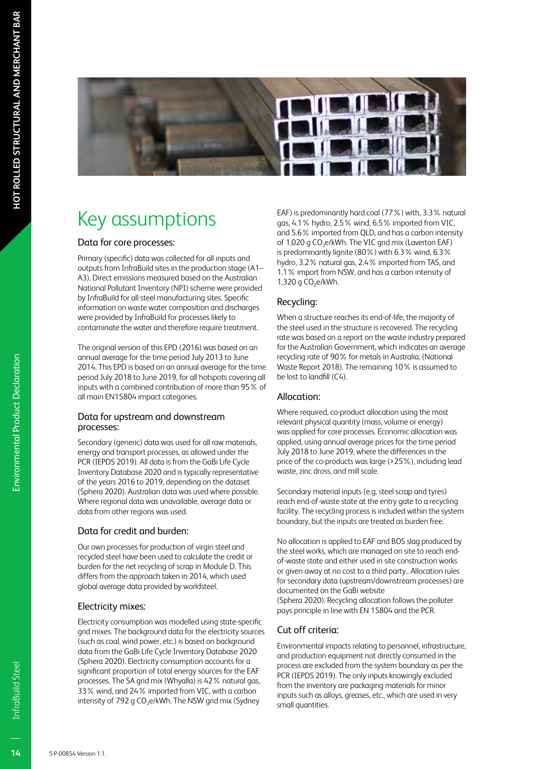

## Key assumptions

#### Data for core processes:

Primary (specific) data was collected for all inputs and outputs from InfraBuild sites in the production stage (A1– A3). Direct emissions measured based on the Australian National Pollutant Inventory (NPI) scheme were provided by InfraBuild for all steel manufacturing sites. Specific information on waste water composition and discharges were provided by InfraBuild for processes likely to contaminate the water and therefore require treatment.

The original version of this EPD (2016) was based on an annual average for the time period July 2013 to June 2014. This EPD is based on an annual average for the time period July 2018 to June 2019, for all hotspots covering all inputs with a combined contribution of more than 95% of all main EN15804 impact categories.

#### Data for upstream and downstream processes:

Secondary (generic) data was used for all raw materials, energy and transport processes, as allowed under the PCR (IEPDS 2019). All data is from the GaBi Life Cycle Inventory Database 2020 and is typically representative of the years 2016 to 2019, depending on the dataset (Sphera 2020). Australian data was used where possible. Where regional data was unavailable, average data or data from other regions was used.

#### Data for credit and burden:

Our own processes for production of virgin steel and recycled steel have been used to calculate the credit or burden for the net recycling of scrap in Module D. This differs from the approach taken in 2014, which used global average data provided by worldsteel.

#### Electricity mixes:

Electricity consumption was modelled using state-specific grid mixes. The background data for the electricity sources (such as coal, wind power, etc.) is based on background data from the GaBi Life Cycle Inventory Database 2020 (Sphera 2020). Electricity consumption accounts for a significant proportion of total energy sources for the EAF processes. The SA grid mix (Whyalla) is 42% natural gas, 33% wind, and 24% imported from VIC, with a carbon intensity of 792 g CO<sub>2</sub>e/kWh. The NSW grid mix (Sydney

EAF) is predominantly hard coal (77%) with, 3.3% natural gas, 4.1% hydro, 2.5% wind, 6.5% imported from VIC, and 5.6% imported from QLD, and has a carbon intensity of 1,020 g CO<sub>2</sub>e/kWh. The VIC grid mix (Laverton EAF) is predominantly lignite (80%) with 6.3% wind, 6.3% hydro, 3.2% natural gas, 2.4% imported from TAS, and 1.1% import from NSW, and has a carbon intensity of 1,320 g  $CO<sub>2</sub>e/kWh$ .

#### Recycling:

When a structure reaches its end-of-life, the majority of the steel used in the structure is recovered. The recycling rate was based on a report on the waste industry prepared for the Australian Government, which indicates an average recycling rate of 90% for metals in Australia. (National Waste Report 2018). The remaining 10% is assumed to be lost to landfill (C4).

#### Allocation:

Where required, co-product allocation using the most relevant physical quantity (mass, volume or energy) was applied for core processes. Economic allocation was applied, using annual average prices for the time period July 2018 to June 2019, where the differences in the price of the co-products was large (>25%), including lead waste, zinc dross, and mill scale.

Secondary material inputs (e.g. steel scrap and tyres) reach end-of-waste state at the entry gate to a recycling facility. The recycling process is included within the system boundary, but the inputs are treated as burden free.

No allocation is applied to EAF and BOS slag produced by the steel works, which are managed on site to reach endof-waste state and either used in site construction works or given away at no cost to a third party.. Allocation rules for secondary data (upstream/downstream processes) are documented on the GaBi website

(Sphera 2020). Recycling allocation follows the polluter pays principle in line with EN 15804 and the PCR.

#### Cut off criteria:

Environmental impacts relating to personnel, infrastructure, and production equipment not directly consumed in the process are excluded from the system boundary as per the PCR (IEPDS 2019). The only inputs knowingly excluded from the inventory are packaging materials for minor inputs such as alloys, greases, etc., which are used in very small quantities.

Environmental Product Declaration

Environmental Product Declaration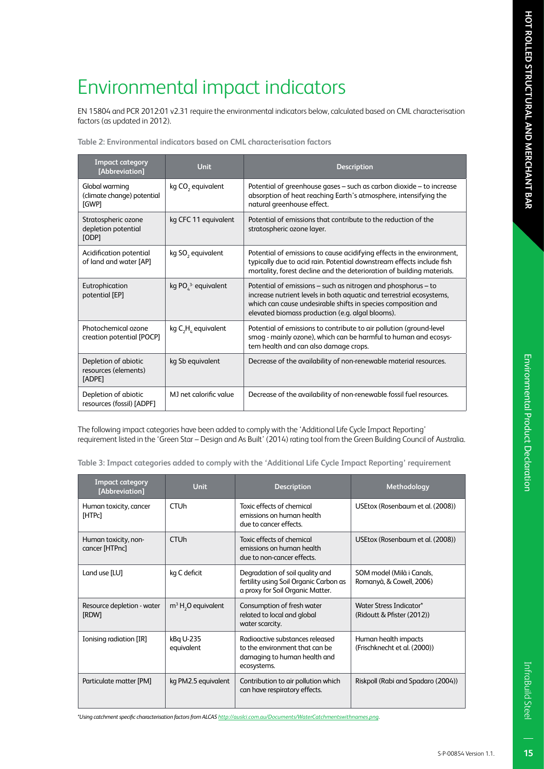# Environmental Product Declaration Environmental Product Declaration

EN 15804 and PCR 2012:01 v2.31 require the environmental indicators below, calculated based on CML characterisation factors (as updated in 2012).

| <b>Impact category</b><br>[Abbreviation]               | <b>Unit</b>                   | <b>Description</b>                                                                                                                                                                                                                                         |
|--------------------------------------------------------|-------------------------------|------------------------------------------------------------------------------------------------------------------------------------------------------------------------------------------------------------------------------------------------------------|
| Global warming<br>(climate change) potential<br>[GWP]  | kg CO <sub>2</sub> equivalent | Potential of greenhouse gases - such as carbon dioxide - to increase<br>absorption of heat reaching Earth's atmosphere, intensifying the<br>natural greenhouse effect.                                                                                     |
| Stratospheric ozone<br>depletion potential<br>[ODP]    | kg CFC 11 equivalent          | Potential of emissions that contribute to the reduction of the<br>stratospheric ozone layer.                                                                                                                                                               |
| Acidification potential<br>of land and water [AP]      | kg SO <sub>2</sub> equivalent | Potential of emissions to cause acidifying effects in the environment,<br>typically due to acid rain. Potential downstream effects include fish<br>mortality, forest decline and the deterioration of building materials.                                  |
| Eutrophication<br>potential [EP]                       | kg $POL3$ equivalent          | Potential of emissions – such as nitrogen and phosphorus – to<br>increase nutrient levels in both aquatic and terrestrial ecosystems,<br>which can cause undesirable shifts in species composition and<br>elevated biomass production (e.g. algal blooms). |
| Photochemical ozone<br>creation potential [POCP]       | kg $C_2H_2$ equivalent        | Potential of emissions to contribute to air pollution (ground-level<br>smog - mainly ozone), which can be harmful to human and ecosys-<br>tem health and can also damage crops.                                                                            |
| Depletion of abiotic<br>resources (elements)<br>[ADPE] | kg Sb equivalent              | Decrease of the availability of non-renewable material resources.                                                                                                                                                                                          |
| Depletion of abiotic<br>resources (fossil) [ADPF]      | MI net calorific value        | Decrease of the availability of non-renewable fossil fuel resources.                                                                                                                                                                                       |

The following impact categories have been added to comply with the 'Additional Life Cycle Impact Reporting' requirement listed in the 'Green Star – Design and As Built' (2014) rating tool from the Green Building Council of Australia.

**Table 3: Impact categories added to comply with the 'Additional Life Cycle Impact Reporting' requirement**

| <b>Impact category</b><br>[Abbreviation] | <b>Unit</b>             | <b>Description</b>                                                                                               | Methodology                                           |
|------------------------------------------|-------------------------|------------------------------------------------------------------------------------------------------------------|-------------------------------------------------------|
| Human toxicity, cancer<br>[HTPc]         | <b>CTU<sub>h</sub></b>  | Toxic effects of chemical<br>emissions on human health<br>due to cancer effects.                                 | USEtox (Rosenbaum et al. (2008))                      |
| Human toxicity, non-<br>cancer [HTPnc]   | <b>CTU<sub>h</sub></b>  | Toxic effects of chemical<br>emissions on human health<br>due to non-cancer effects.                             | USEtox (Rosenbaum et al. (2008))                      |
| Land use [LU]                            | kg C deficit            | Degradation of soil quality and<br>fertility using Soil Organic Carbon as<br>a proxy for Soil Organic Matter.    | SOM model (Milà i Canals,<br>Romanyà, & Cowell, 2006) |
| Resource depletion - water<br>[RDW]      | $m3 H2O$ equivalent     | Consumption of fresh water<br>related to local and global<br>water scarcity.                                     | Water Stress Indicator*<br>(Ridoutt & Pfister (2012)) |
| Ionising radiation [IR]                  | kBq U-235<br>equivalent | Radioactive substances released<br>to the environment that can be<br>damaging to human health and<br>ecosystems. | Human health impacts<br>(Frischknecht et al. (2000))  |
| Particulate matter [PM]                  | kg PM2.5 equivalent     | Contribution to air pollution which<br>can have respiratory effects.                                             | Riskpoll (Rabi and Spadaro (2004))                    |

*\*Using catchment specific characterisation factors from ALCAS http://auslci.com.au/Documents/WaterCatchmentswithnames.png.*

InfraBuild Steel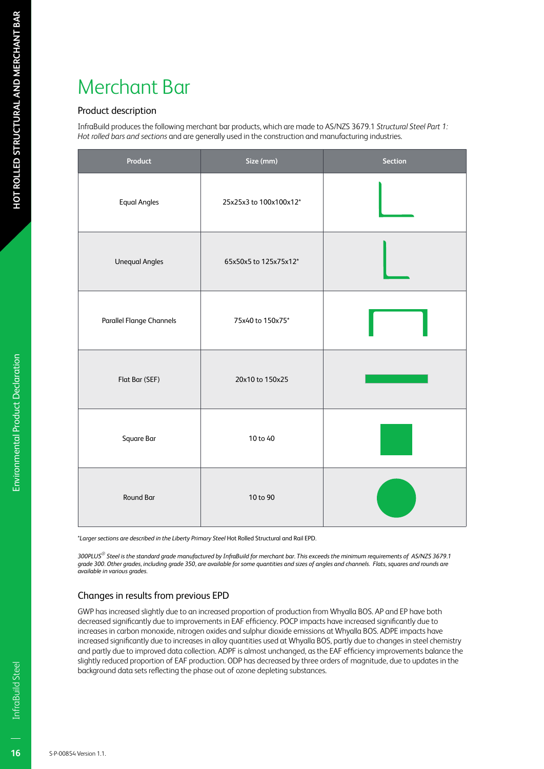## Merchant Bar

#### Product description

InfraBuild produces the following merchant bar products, which are made to AS/NZS 3679.1 *Structural Steel Part 1: Hot rolled bars and sections* and are generally used in the construction and manufacturing industries.

| Product                         | Size (mm)              | <b>Section</b> |
|---------------------------------|------------------------|----------------|
| <b>Equal Angles</b>             | 25x25x3 to 100x100x12* |                |
| <b>Unequal Angles</b>           | 65x50x5 to 125x75x12*  |                |
| <b>Parallel Flange Channels</b> | 75x40 to 150x75*       |                |
| Flat Bar (SEF)                  | 20x10 to 150x25        |                |
| Square Bar                      | 10 to 40               |                |
| Round Bar                       | 10 to 90               |                |

*\*Larger sections are described in the Liberty Primary Steel* Hot Rolled Structural and Rail EPD*.*

*300PLUS® Steel is the standard grade manufactured by InfraBuild for merchant bar. This exceeds the minimum requirements of AS/NZS 3679.1 grade 300. Other grades, including grade 350, are available for some quantities and sizes of angles and channels. Flats, squares and rounds are available in various grades.*

#### Changes in results from previous EPD

GWP has increased slightly due to an increased proportion of production from Whyalla BOS. AP and EP have both decreased significantly due to improvements in EAF efficiency. POCP impacts have increased significantly due to increases in carbon monoxide, nitrogen oxides and sulphur dioxide emissions at Whyalla BOS. ADPE impacts have increased significantly due to increases in alloy quantities used at Whyalla BOS, partly due to changes in steel chemistry and partly due to improved data collection. ADPF is almost unchanged, as the EAF efficiency improvements balance the slightly reduced proportion of EAF production. ODP has decreased by three orders of magnitude, due to updates in the background data sets reflecting the phase out of ozone depleting substances.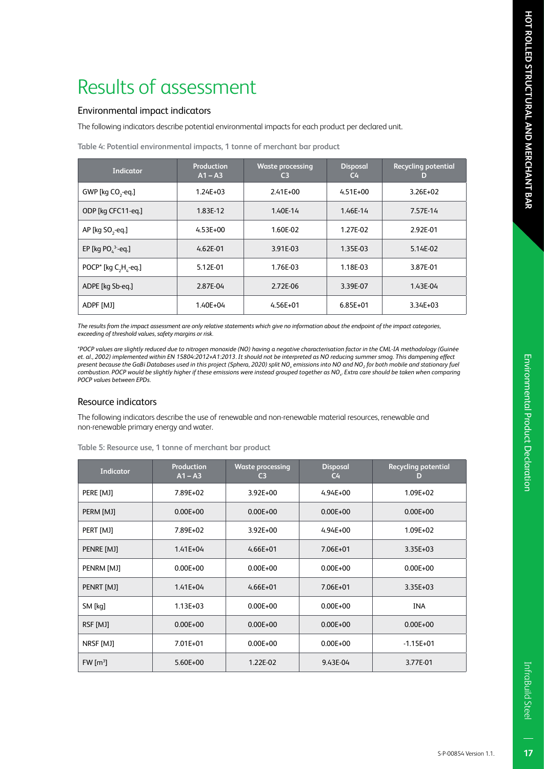#### Environmental impact indicators

The following indicators describe potential environmental impacts for each product per declared unit.

| Indicator                            | Production<br>$A1 - A3$ | <b>Waste processing</b><br>C <sub>3</sub> | <b>Disposal</b><br>$C_{\rm 4}$ | <b>Recycling potential</b><br>D |
|--------------------------------------|-------------------------|-------------------------------------------|--------------------------------|---------------------------------|
| GWP [kg CO <sub>2</sub> -eq.]        | $1.24E + 03$            | $2.41E + 00$                              | $4.51E + 00$                   | $3.26E + 02$                    |
| ODP [kg CFC11-eg.]                   | 1.83E-12                | 1.40E-14                                  | 1.46E-14                       | 7.57E-14                        |
| AP [ $kg$ SO <sub>2</sub> -eq.]      | $4.53E + 00$            | 1.60E-02                                  | 1.27E-02                       | 2.92E-01                        |
| EP [kg PO $^3$ -eq.]                 | $4.62E - 01$            | 3.91E-03                                  | 1.35E-03                       | 5.14E-02                        |
| POCP <sup>*</sup> [kg $C_1H_2$ -eq.] | 5.12E-01                | 1.76E-03                                  | 1.18E-03                       | 3.87E-01                        |
| ADPE [kg Sb-eg.]                     | 2.87E-04                | 2.72E-06                                  | 3.39E-07                       | 1.43E-04                        |
| ADPF [MJ]                            | $1.40E + 04$            | $4.56E + 01$                              | $6.85E + 01$                   | $3.34E + 03$                    |

**Table 4: Potential environmental impacts, 1 tonne of merchant bar product** 

*The results from the impact assessment are only relative statements which give no information about the endpoint of the impact categories, exceeding of threshold values, safety margins or risk.*

*\*POCP values are slightly reduced due to nitrogen monoxide (NO) having a negative characterisation factor in the CML-IA methodology (Guinée et. al., 2002) implemented within EN 15804:2012+A1:2013. It should not be interpreted as NO reducing summer smog. This dampening effect present because the GaBi Databases used in this project (Sphera, 2020) split NOx emissions into NO and NO2 for both mobile and stationary fuel combustion. POCP would be slightly higher if these emissions were instead grouped together as NOx. Extra care should be taken when comparing POCP values between EPDs.*

#### Resource indicators

The following indicators describe the use of renewable and non-renewable material resources, renewable and non-renewable primary energy and water.

| <b>Indicator</b>     | Production<br>$A1 - A3$ | <b>Waste processing</b><br>C3 | <b>Disposal</b><br>C <sub>4</sub> | <b>Recycling potential</b><br>D |
|----------------------|-------------------------|-------------------------------|-----------------------------------|---------------------------------|
| PERE [MJ]            | 7.89E+02                | $3.92E + 00$                  | $4.94E + 00$                      | 1.09E+02                        |
| PERM [MJ]            | $0.00E + 00$            | $0.00E + 00$                  | $0.00E + 00$                      | $0.00E + 00$                    |
| PERT [MJ]            | 7.89E+02                | $3.92E + 00$                  | $4.94E + 00$                      | $1.09E + 02$                    |
| PENRE [MJ]           | $1.41E + 04$            | $4.66E + 01$                  | 7.06E+01                          | 3.35E+03                        |
| PENRM [MJ]           | $0.00E + 00$            | $0.00E + 00$                  | $0.00E + 00$                      | $0.00E + 00$                    |
| PENRT [MJ]           | $1.41E + 04$            | $4.66E + 01$                  | 7.06E+01                          | $3.35E + 03$                    |
| SM [kq]              | $1.13E + 03$            | $0.00E + 00$                  | $0.00E + 00$                      | <b>INA</b>                      |
| RSF [MJ]             | $0.00E + 00$            | $0.00E + 00$                  | $0.00E + 00$                      | $0.00E + 00$                    |
| NRSF [MJ]            | 7.01E+01                | $0.00E + 00$                  | $0.00E + 00$                      | $-1.15E + 01$                   |
| FW [m <sup>3</sup> ] | 5.60E+00                | 1.22E-02                      | 9.43E-04                          | 3.77E-01                        |

**Table 5: Resource use, 1 tonne of merchant bar product**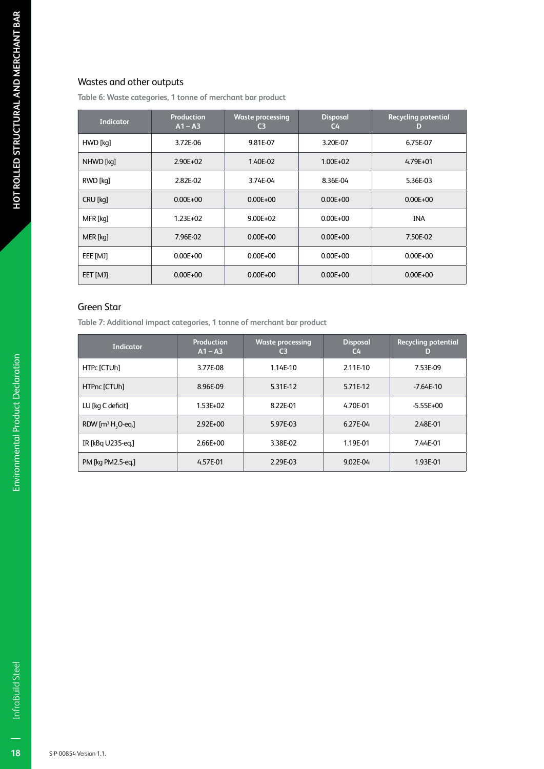#### Wastes and other outputs

**Table 6: Waste categories, 1 tonne of merchant bar product**

| <b>Indicator</b> | <b>Production</b><br>$A1 - A3$ | <b>Waste processing</b><br>C <sub>3</sub> | <b>Disposal</b><br>C <sub>4</sub> | <b>Recycling potential</b><br>D |
|------------------|--------------------------------|-------------------------------------------|-----------------------------------|---------------------------------|
| HWD [kq]         | 3.72E-06                       | 9.81E-07                                  | 3.20E-07                          | 6.75E-07                        |
| NHWD [kq]        | $2.90E + 02$                   | 1.40E-02                                  | $1.00E + 02$                      | $4.79E + 01$                    |
| RWD [kq]         | 2.82E-02                       | 3.74E-04                                  | 8.36E-04                          | 5.36E-03                        |
| CRU [kq]         | $0.00E + 00$                   | $0.00E + 00$                              | $0.00E + 00$                      | $0.00E + 00$                    |
| MFR [kq]         | $1.23E + 02$                   | $9.00E + 02$                              | $0.00E + 00$                      | <b>INA</b>                      |
| MER [kq]         | 7.96E-02                       | $0.00E + 00$                              | $0.00E + 00$                      | 7.50E-02                        |
| EEE [MJ]         | $0.00E + 00$                   | $0.00E + 00$                              | $0.00E + 00$                      | $0.00E + 00$                    |
| EET [MJ]         | $0.00E + 00$                   | $0.00E + 00$                              | $0.00E + 00$                      | $0.00E + 00$                    |

#### Green Star

**Table 7: Additional impact categories, 1 tonne of merchant bar product**

| <b>Indicator</b>              | Production<br>$A1 - A3$ | <b>Waste processing</b><br>C3 | <b>Disposal</b><br>$C_{\rm 4}$ | <b>Recycling potential</b><br>D |
|-------------------------------|-------------------------|-------------------------------|--------------------------------|---------------------------------|
| HTPc [CTUh]                   | 3.77E-08                | 1.14E-10                      | 2.11E-10                       | 7.53E-09                        |
| HTPnc [CTUh]                  | 8.96E-09                | 5.31E-12                      | 5.71E-12                       | $-7.64E-10$                     |
| LU [kg C deficit]             | $1.53E + 02$            | 8.22E-01                      | 4.70E-01                       | $-5.55E+00$                     |
| RDW $[m^3 H, O \text{-} eq.]$ | $2.92E + 00$            | 5.97E-03                      | 6.27E-04                       | 2.48E-01                        |
| IR [kBq U235-eq.]             | $2.66E + 00$            | 3.38E-02                      | 1.19E-01                       | 7.44E-01                        |
| PM [kg PM2.5-eg.]             | 4.57E-01                | 2.29E-03                      | 9.02E-04                       | 1.93E-01                        |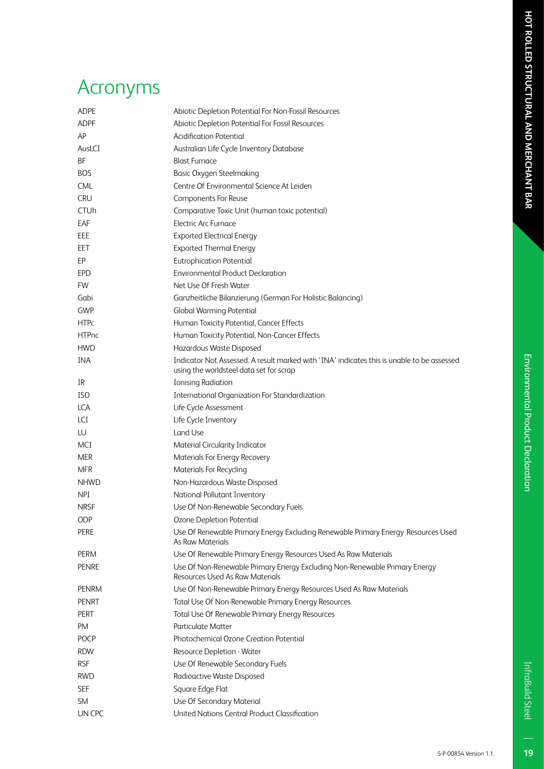# Environmental Product Declaration Environmental Product Declaration

19

## Acronyms

| <b>ADPE</b>  | Abiotic Depletion Potential For Non-Fossil Resources                                                                                  |  |  |
|--------------|---------------------------------------------------------------------------------------------------------------------------------------|--|--|
| <b>ADPF</b>  | Abiotic Depletion Potential For Fossil Resources                                                                                      |  |  |
| AP           | <b>Acidification Potential</b>                                                                                                        |  |  |
| AusLCI       | Australian Life Cycle Inventory Database                                                                                              |  |  |
| BF           | <b>Blast Furnace</b>                                                                                                                  |  |  |
| <b>BOS</b>   | <b>Basic Oxygen Steelmaking</b>                                                                                                       |  |  |
| <b>CML</b>   | Centre Of Environmental Science At Leiden                                                                                             |  |  |
| <b>CRU</b>   | Components For Reuse                                                                                                                  |  |  |
| <b>CTUh</b>  | Comparative Toxic Unit (human toxic potential)                                                                                        |  |  |
| EAF          | <b>Electric Arc Furnace</b>                                                                                                           |  |  |
| EEE          | <b>Exported Electrical Energy</b>                                                                                                     |  |  |
| <b>EET</b>   | <b>Exported Thermal Energy</b>                                                                                                        |  |  |
| EP           | <b>Eutrophication Potential</b>                                                                                                       |  |  |
| <b>EPD</b>   | <b>Environmental Product Declaration</b>                                                                                              |  |  |
| FW           | Net Use Of Fresh Water                                                                                                                |  |  |
| Gabi         | Ganzheitliche Bilanzierung (German For Holistic Balancing)                                                                            |  |  |
| GWP          | <b>Global Warming Potential</b>                                                                                                       |  |  |
| <b>HTPc</b>  | Human Toxicity Potential, Cancer Effects                                                                                              |  |  |
| <b>HTPnc</b> | Human Toxicity Potential, Non-Cancer Effects                                                                                          |  |  |
| <b>HWD</b>   | Hazardous Waste Disposed                                                                                                              |  |  |
| INA          | Indicator Not Assessed. A result marked with 'INA' indicates this is unable to be assessed<br>using the worldsteel data set for scrap |  |  |
| IR           | <b>Ionising Radiation</b>                                                                                                             |  |  |
| ISO.         | <b>International Organization For Standardization</b>                                                                                 |  |  |
| <b>LCA</b>   | Life Cycle Assessment                                                                                                                 |  |  |
| LCI          | Life Cycle Inventory                                                                                                                  |  |  |
| LU           | Land Use                                                                                                                              |  |  |
| MCI          | Material Circularity Indicator                                                                                                        |  |  |
| <b>MER</b>   | Materials For Energy Recovery                                                                                                         |  |  |
| <b>MFR</b>   | <b>Materials For Recycling</b>                                                                                                        |  |  |
| <b>NHWD</b>  | Non-Hazardous Waste Disposed                                                                                                          |  |  |
| <b>NPI</b>   | National Pollutant Inventory                                                                                                          |  |  |
| <b>NRSF</b>  | Use Of Non-Renewable Secondary Fuels                                                                                                  |  |  |
| ODP          | Ozone Depletion Potential                                                                                                             |  |  |
| PERE         | Use Of Renewable Primary Energy Excluding Renewable Primary Energy Resources Used<br><b>As Raw Materials</b>                          |  |  |
| PERM         | Use Of Renewable Primary Energy Resources Used As Raw Materials                                                                       |  |  |
| <b>PENRE</b> | Use Of Non-Renewable Primary Energy Excluding Non-Renewable Primary Energy<br>Resources Used As Raw Materials                         |  |  |
| <b>PENRM</b> | Use Of Non-Renewable Primary Energy Resources Used As Raw Materials                                                                   |  |  |
| <b>PENRT</b> | Total Use Of Non-Renewable Primary Energy Resources                                                                                   |  |  |
| PERT         | Total Use Of Renewable Primary Energy Resources                                                                                       |  |  |
| PM           | <b>Particulate Matter</b>                                                                                                             |  |  |
| <b>POCP</b>  | Photochemical Ozone Creation Potential                                                                                                |  |  |
| <b>RDW</b>   | Resource Depletion - Water                                                                                                            |  |  |
| <b>RSF</b>   | Use Of Renewable Secondary Fuels                                                                                                      |  |  |
| <b>RWD</b>   | Radioactive Waste Disposed                                                                                                            |  |  |
| <b>SEF</b>   | Square Edge Flat                                                                                                                      |  |  |
| SM.          | Use Of Secondary Material                                                                                                             |  |  |
| UN CPC       | United Nations Central Product Classification                                                                                         |  |  |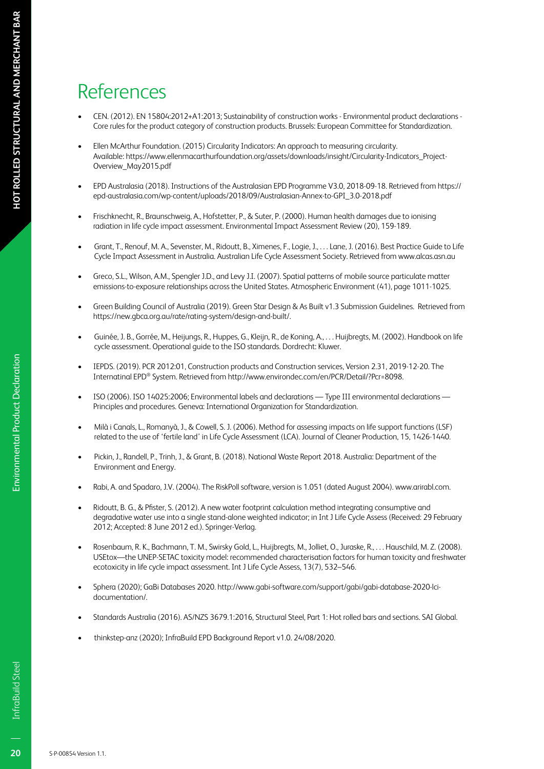## References

- CEN. (2012). EN 15804:2012+A1:2013; Sustainability of construction works Environmental product declarations Core rules for the product category of construction products. Brussels: European Committee for Standardization.
- Ellen McArthur Foundation. (2015) Circularity Indicators: An approach to measuring circularity. Available: https://www.ellenmacarthurfoundation.org/assets/downloads/insight/Circularity-Indicators\_Project-Overview\_May2015.pdf
- EPD Australasia (2018). Instructions of the Australasian EPD Programme V3.0, 2018-09-18. Retrieved from https:// epd-australasia.com/wp-content/uploads/2018/09/Australasian-Annex-to-GPI\_3.0-2018.pdf
- Frischknecht, R., Braunschweig, A., Hofstetter, P., & Suter, P. (2000). Human health damages due to ionising radiation in life cycle impact assessment. Environmental Impact Assessment Review (20), 159-189.
- Grant, T., Renouf, M. A., Sevenster, M., Ridoutt, B., Ximenes, F., Logie, J., . . . Lane, J. (2016). Best Practice Guide to Life Cycle Impact Assessment in Australia. Australian Life Cycle Assessment Society. Retrieved from www.alcas.asn.au
- Greco, S.L., Wilson, A.M., Spengler J.D., and Levy J.I. (2007). Spatial patterns of mobile source particulate matter emissions-to-exposure relationships across the United States. Atmospheric Environment (41), page 1011-1025.
- Green Building Council of Australia (2019). Green Star Design & As Built v1.3 Submission Guidelines. Retrieved from https://new.gbca.org.au/rate/rating-system/design-and-built/.
- Guinée, J. B., Gorrée, M., Heijungs, R., Huppes, G., Kleijn, R., de Koning, A., . . . Huijbregts, M. (2002). Handbook on life cycle assessment. Operational guide to the ISO standards. Dordrecht: Kluwer.
- IEPDS. (2019). PCR 2012:01, Construction products and Construction services, Version 2.31, 2019-12-20. The Internatinal EPD® System. Retrieved from http://www.environdec.com/en/PCR/Detail/?Pcr=8098.
- ISO (2006). ISO 14025:2006; Environmental labels and declarations Type III environmental declarations Principles and procedures. Geneva: International Organization for Standardization.
- Milà i Canals, L., Romanyà, J., & Cowell, S. J. (2006). Method for assessing impacts on life support functions (LSF) related to the use of 'fertile land' in Life Cycle Assessment (LCA). Journal of Cleaner Production, 15, 1426-1440.
- Pickin, J., Randell, P., Trinh, J., & Grant, B. (2018). National Waste Report 2018. Australia: Department of the Environment and Energy.
- Rabi, A. and Spadaro, J.V. (2004). The RiskPoll software, version is 1.051 (dated August 2004). www.arirabl.com.
- Ridoutt, B. G., & Pfister, S. (2012). A new water footprint calculation method integrating consumptive and degradative water use into a single stand-alone weighted indicator; in Int J Life Cycle Assess (Received: 29 February 2012; Accepted: 8 June 2012 ed.). Springer-Verlag.
- Rosenbaum, R. K., Bachmann, T. M., Swirsky Gold, L., Huijbregts, M., Jolliet, O., Juraske, R., . . . Hauschild, M. Z. (2008). USEtox—the UNEP-SETAC toxicity model: recommended characterisation factors for human toxicity and freshwater ecotoxicity in life cycle impact assessment. Int J Life Cycle Assess, 13(7), 532–546.
- Sphera (2020); GaBi Databases 2020. http://www.gabi-software.com/support/gabi/gabi-database-2020-lcidocumentation/.
- Standards Australia (2016). AS/NZS 3679.1:2016, Structural Steel, Part 1: Hot rolled bars and sections. SAI Global.
- thinkstep-anz (2020); InfraBuild EPD Background Report v1.0. 24/08/2020.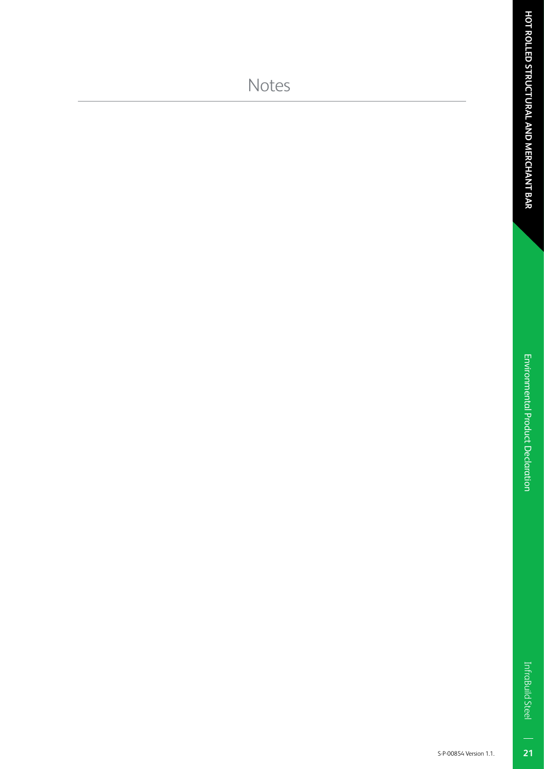$\overline{\mathbf{21}}$ 

### Notes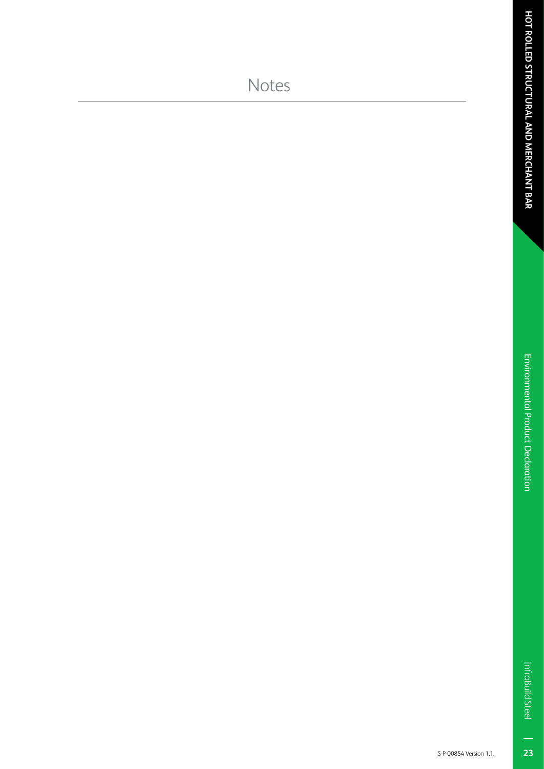23

### Notes